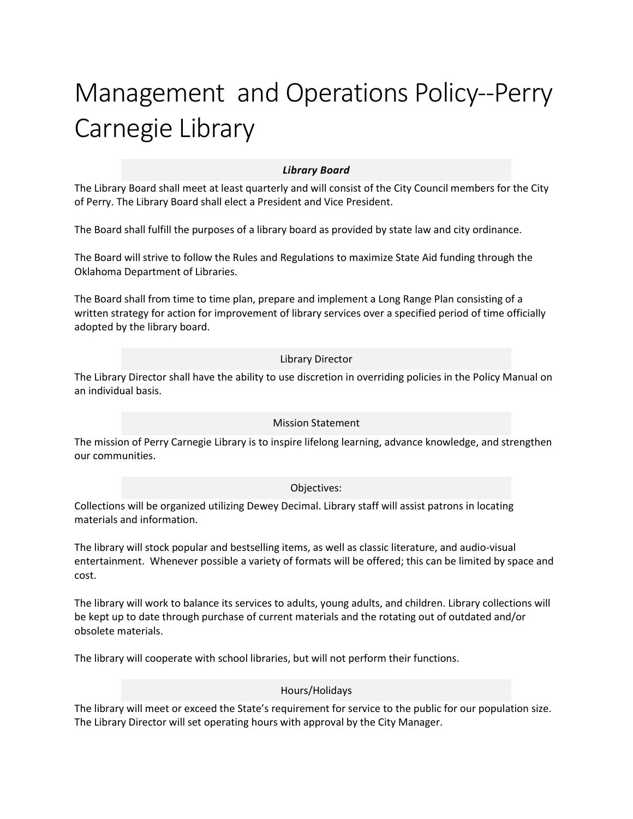# Management and Operations Policy--Perry Carnegie Library

# *Library Board*

The Library Board shall meet at least quarterly and will consist of the City Council members for the City of Perry. The Library Board shall elect a President and Vice President.

The Board shall fulfill the purposes of a library board as provided by state law and city ordinance.

The Board will strive to follow the Rules and Regulations to maximize State Aid funding through the Oklahoma Department of Libraries.

The Board shall from time to time plan, prepare and implement a Long Range Plan consisting of a written strategy for action for improvement of library services over a specified period of time officially adopted by the library board.

## Library Director

The Library Director shall have the ability to use discretion in overriding policies in the Policy Manual on an individual basis.

#### Mission Statement

The mission of Perry Carnegie Library is to inspire lifelong learning, advance knowledge, and strengthen our communities.

#### Objectives:

Collections will be organized utilizing Dewey Decimal. Library staff will assist patrons in locating materials and information.

The library will stock popular and bestselling items, as well as classic literature, and audio-visual entertainment. Whenever possible a variety of formats will be offered; this can be limited by space and cost.

The library will work to balance its services to adults, young adults, and children. Library collections will be kept up to date through purchase of current materials and the rotating out of outdated and/or obsolete materials.

The library will cooperate with school libraries, but will not perform their functions.

#### Hours/Holidays

The library will meet or exceed the State's requirement for service to the public for our population size. The Library Director will set operating hours with approval by the City Manager.